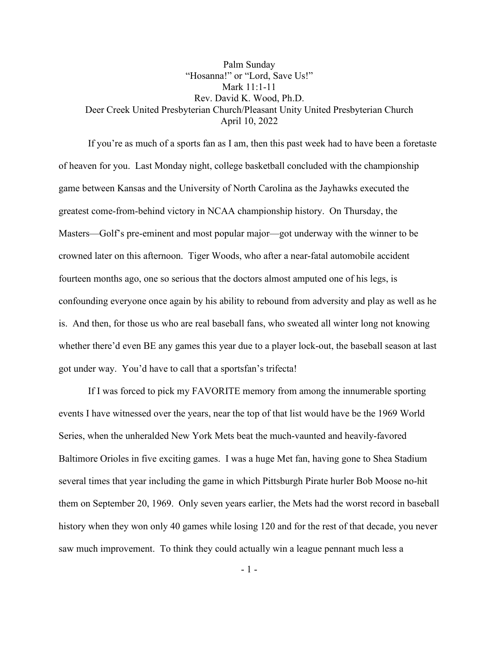## Palm Sunday "Hosanna!" or "Lord, Save Us!" Mark 11:1-11 Rev. David K. Wood, Ph.D. Deer Creek United Presbyterian Church/Pleasant Unity United Presbyterian Church April 10, 2022

If you're as much of a sports fan as I am, then this past week had to have been a foretaste of heaven for you. Last Monday night, college basketball concluded with the championship game between Kansas and the University of North Carolina as the Jayhawks executed the greatest come-from-behind victory in NCAA championship history. On Thursday, the Masters—Golf's pre-eminent and most popular major—got underway with the winner to be crowned later on this afternoon. Tiger Woods, who after a near-fatal automobile accident fourteen months ago, one so serious that the doctors almost amputed one of his legs, is confounding everyone once again by his ability to rebound from adversity and play as well as he is. And then, for those us who are real baseball fans, who sweated all winter long not knowing whether there'd even BE any games this year due to a player lock-out, the baseball season at last got under way. You'd have to call that a sportsfan's trifecta!

If I was forced to pick my FAVORITE memory from among the innumerable sporting events I have witnessed over the years, near the top of that list would have be the 1969 World Series, when the unheralded New York Mets beat the much-vaunted and heavily-favored Baltimore Orioles in five exciting games. I was a huge Met fan, having gone to Shea Stadium several times that year including the game in which Pittsburgh Pirate hurler Bob Moose no-hit them on September 20, 1969. Only seven years earlier, the Mets had the worst record in baseball history when they won only 40 games while losing 120 and for the rest of that decade, you never saw much improvement. To think they could actually win a league pennant much less a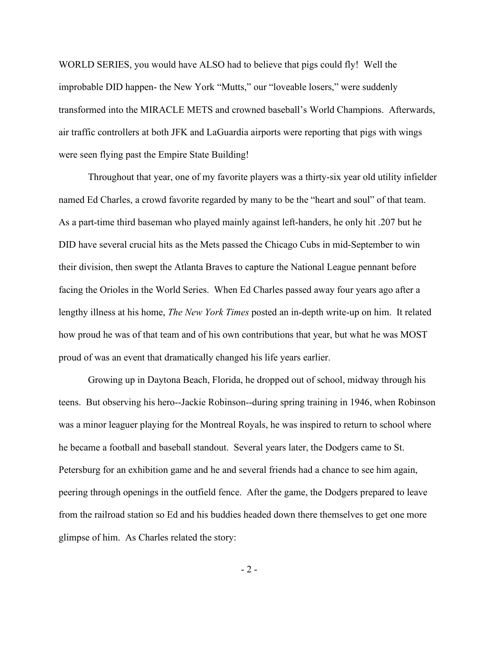WORLD SERIES, you would have ALSO had to believe that pigs could fly! Well the improbable DID happen- the New York "Mutts," our "loveable losers," were suddenly transformed into the MIRACLE METS and crowned baseball's World Champions. Afterwards, air traffic controllers at both JFK and LaGuardia airports were reporting that pigs with wings were seen flying past the Empire State Building!

Throughout that year, one of my favorite players was a thirty-six year old utility infielder named Ed Charles, a crowd favorite regarded by many to be the "heart and soul" of that team. As a part-time third baseman who played mainly against left-handers, he only hit .207 but he DID have several crucial hits as the Mets passed the Chicago Cubs in mid-September to win their division, then swept the Atlanta Braves to capture the National League pennant before facing the Orioles in the World Series. When Ed Charles passed away four years ago after a lengthy illness at his home, *The New York Times* posted an in-depth write-up on him. It related how proud he was of that team and of his own contributions that year, but what he was MOST proud of was an event that dramatically changed his life years earlier.

Growing up in Daytona Beach, Florida, he dropped out of school, midway through his teens. But observing his hero--Jackie Robinson--during spring training in 1946, when Robinson was a minor leaguer playing for the Montreal Royals, he was inspired to return to school where he became a football and baseball standout. Several years later, the Dodgers came to St. Petersburg for an exhibition game and he and several friends had a chance to see him again, peering through openings in the outfield fence. After the game, the Dodgers prepared to leave from the railroad station so Ed and his buddies headed down there themselves to get one more glimpse of him. As Charles related the story:

- 2 -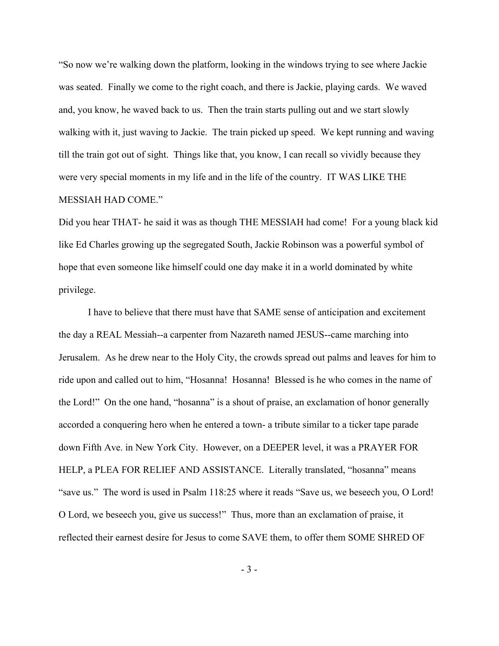"So now we're walking down the platform, looking in the windows trying to see where Jackie was seated. Finally we come to the right coach, and there is Jackie, playing cards. We waved and, you know, he waved back to us. Then the train starts pulling out and we start slowly walking with it, just waving to Jackie. The train picked up speed. We kept running and waving till the train got out of sight. Things like that, you know, I can recall so vividly because they were very special moments in my life and in the life of the country. IT WAS LIKE THE MESSIAH HAD COME."

Did you hear THAT- he said it was as though THE MESSIAH had come! For a young black kid like Ed Charles growing up the segregated South, Jackie Robinson was a powerful symbol of hope that even someone like himself could one day make it in a world dominated by white privilege.

I have to believe that there must have that SAME sense of anticipation and excitement the day a REAL Messiah--a carpenter from Nazareth named JESUS--came marching into Jerusalem. As he drew near to the Holy City, the crowds spread out palms and leaves for him to ride upon and called out to him, "Hosanna! Hosanna! Blessed is he who comes in the name of the Lord!" On the one hand, "hosanna" is a shout of praise, an exclamation of honor generally accorded a conquering hero when he entered a town- a tribute similar to a ticker tape parade down Fifth Ave. in New York City. However, on a DEEPER level, it was a PRAYER FOR HELP, a PLEA FOR RELIEF AND ASSISTANCE. Literally translated, "hosanna" means "save us." The word is used in Psalm 118:25 where it reads "Save us, we beseech you, O Lord! O Lord, we beseech you, give us success!" Thus, more than an exclamation of praise, it reflected their earnest desire for Jesus to come SAVE them, to offer them SOME SHRED OF

- 3 -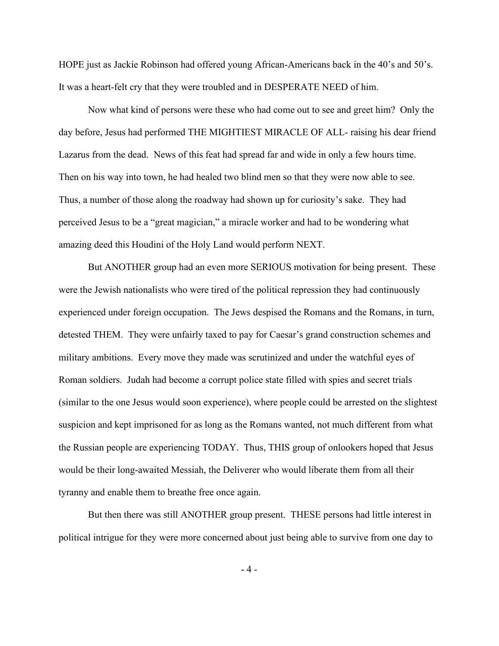HOPE just as Jackie Robinson had offered young African-Americans back in the 40's and 50's. It was a heart-felt cry that they were troubled and in DESPERATE NEED of him.

Now what kind of persons were these who had come out to see and greet him? Only the day before, Jesus had performed THE MIGHTIEST MIRACLE OF ALL- raising his dear friend Lazarus from the dead. News of this feat had spread far and wide in only a few hours time. Then on his way into town, he had healed two blind men so that they were now able to see. Thus, a number of those along the roadway had shown up for curiosity's sake. They had perceived Jesus to be a "great magician," a miracle worker and had to be wondering what amazing deed this Houdini of the Holy Land would perform NEXT.

But ANOTHER group had an even more SERIOUS motivation for being present. These were the Jewish nationalists who were tired of the political repression they had continuously experienced under foreign occupation. The Jews despised the Romans and the Romans, in turn, detested THEM. They were unfairly taxed to pay for Caesar's grand construction schemes and military ambitions. Every move they made was scrutinized and under the watchful eyes of Roman soldiers. Judah had become a corrupt police state filled with spies and secret trials (similar to the one Jesus would soon experience), where people could be arrested on the slightest suspicion and kept imprisoned for as long as the Romans wanted, not much different from what the Russian people are experiencing TODAY. Thus, THIS group of onlookers hoped that Jesus would be their long-awaited Messiah, the Deliverer who would liberate them from all their tyranny and enable them to breathe free once again.

But then there was still ANOTHER group present. THESE persons had little interest in political intrigue for they were more concerned about just being able to survive from one day to

- 4 -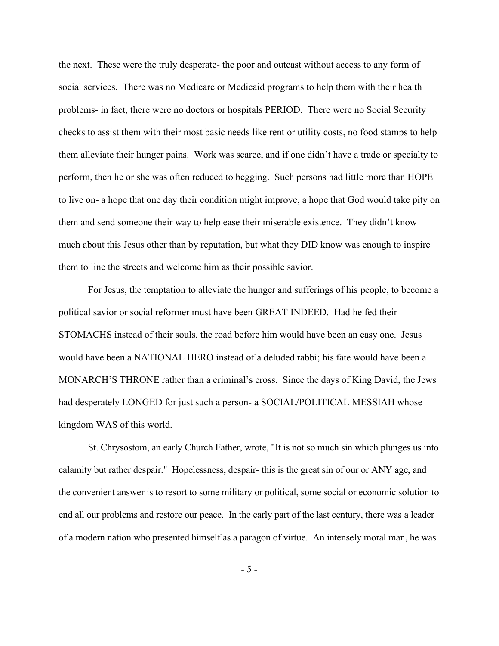the next. These were the truly desperate- the poor and outcast without access to any form of social services. There was no Medicare or Medicaid programs to help them with their health problems- in fact, there were no doctors or hospitals PERIOD. There were no Social Security checks to assist them with their most basic needs like rent or utility costs, no food stamps to help them alleviate their hunger pains. Work was scarce, and if one didn't have a trade or specialty to perform, then he or she was often reduced to begging. Such persons had little more than HOPE to live on- a hope that one day their condition might improve, a hope that God would take pity on them and send someone their way to help ease their miserable existence. They didn't know much about this Jesus other than by reputation, but what they DID know was enough to inspire them to line the streets and welcome him as their possible savior.

For Jesus, the temptation to alleviate the hunger and sufferings of his people, to become a political savior or social reformer must have been GREAT INDEED. Had he fed their STOMACHS instead of their souls, the road before him would have been an easy one. Jesus would have been a NATIONAL HERO instead of a deluded rabbi; his fate would have been a MONARCH'S THRONE rather than a criminal's cross. Since the days of King David, the Jews had desperately LONGED for just such a person- a SOCIAL/POLITICAL MESSIAH whose kingdom WAS of this world.

St. Chrysostom, an early Church Father, wrote, "It is not so much sin which plunges us into calamity but rather despair." Hopelessness, despair- this is the great sin of our or ANY age, and the convenient answer is to resort to some military or political, some social or economic solution to end all our problems and restore our peace. In the early part of the last century, there was a leader of a modern nation who presented himself as a paragon of virtue. An intensely moral man, he was

- 5 -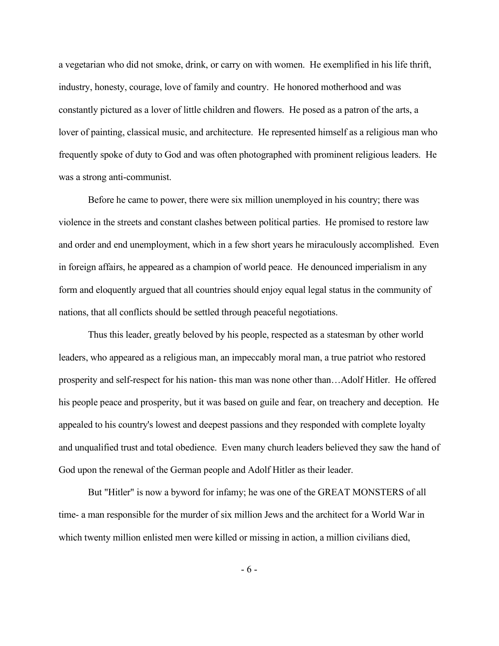a vegetarian who did not smoke, drink, or carry on with women. He exemplified in his life thrift, industry, honesty, courage, love of family and country. He honored motherhood and was constantly pictured as a lover of little children and flowers. He posed as a patron of the arts, a lover of painting, classical music, and architecture. He represented himself as a religious man who frequently spoke of duty to God and was often photographed with prominent religious leaders. He was a strong anti-communist.

Before he came to power, there were six million unemployed in his country; there was violence in the streets and constant clashes between political parties. He promised to restore law and order and end unemployment, which in a few short years he miraculously accomplished. Even in foreign affairs, he appeared as a champion of world peace. He denounced imperialism in any form and eloquently argued that all countries should enjoy equal legal status in the community of nations, that all conflicts should be settled through peaceful negotiations.

Thus this leader, greatly beloved by his people, respected as a statesman by other world leaders, who appeared as a religious man, an impeccably moral man, a true patriot who restored prosperity and self-respect for his nation- this man was none other than…Adolf Hitler. He offered his people peace and prosperity, but it was based on guile and fear, on treachery and deception. He appealed to his country's lowest and deepest passions and they responded with complete loyalty and unqualified trust and total obedience. Even many church leaders believed they saw the hand of God upon the renewal of the German people and Adolf Hitler as their leader.

But "Hitler" is now a byword for infamy; he was one of the GREAT MONSTERS of all time- a man responsible for the murder of six million Jews and the architect for a World War in which twenty million enlisted men were killed or missing in action, a million civilians died,

- 6 -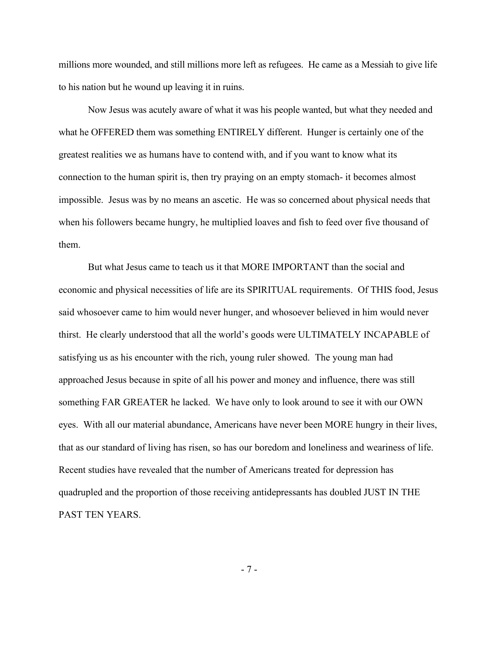millions more wounded, and still millions more left as refugees. He came as a Messiah to give life to his nation but he wound up leaving it in ruins.

Now Jesus was acutely aware of what it was his people wanted, but what they needed and what he OFFERED them was something ENTIRELY different. Hunger is certainly one of the greatest realities we as humans have to contend with, and if you want to know what its connection to the human spirit is, then try praying on an empty stomach- it becomes almost impossible. Jesus was by no means an ascetic. He was so concerned about physical needs that when his followers became hungry, he multiplied loaves and fish to feed over five thousand of them.

But what Jesus came to teach us it that MORE IMPORTANT than the social and economic and physical necessities of life are its SPIRITUAL requirements. Of THIS food, Jesus said whosoever came to him would never hunger, and whosoever believed in him would never thirst. He clearly understood that all the world's goods were ULTIMATELY INCAPABLE of satisfying us as his encounter with the rich, young ruler showed. The young man had approached Jesus because in spite of all his power and money and influence, there was still something FAR GREATER he lacked. We have only to look around to see it with our OWN eyes. With all our material abundance, Americans have never been MORE hungry in their lives, that as our standard of living has risen, so has our boredom and loneliness and weariness of life. Recent studies have revealed that the number of Americans treated for depression has quadrupled and the proportion of those receiving antidepressants has doubled JUST IN THE PAST TEN YEARS.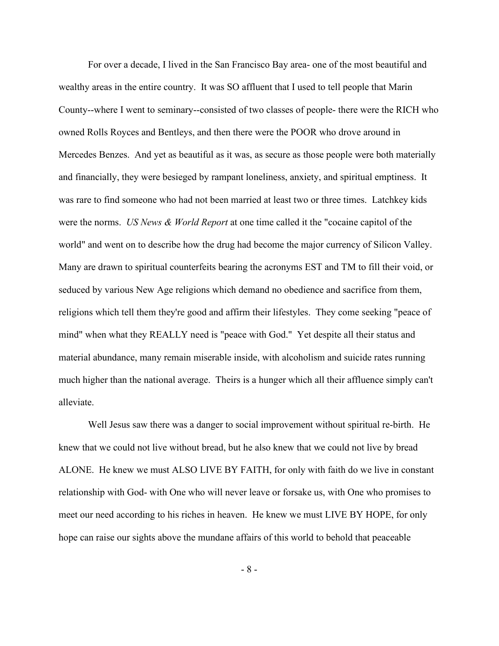For over a decade, I lived in the San Francisco Bay area- one of the most beautiful and wealthy areas in the entire country. It was SO affluent that I used to tell people that Marin County--where I went to seminary--consisted of two classes of people- there were the RICH who owned Rolls Royces and Bentleys, and then there were the POOR who drove around in Mercedes Benzes. And yet as beautiful as it was, as secure as those people were both materially and financially, they were besieged by rampant loneliness, anxiety, and spiritual emptiness. It was rare to find someone who had not been married at least two or three times. Latchkey kids were the norms. *US News & World Report* at one time called it the "cocaine capitol of the world" and went on to describe how the drug had become the major currency of Silicon Valley. Many are drawn to spiritual counterfeits bearing the acronyms EST and TM to fill their void, or seduced by various New Age religions which demand no obedience and sacrifice from them, religions which tell them they're good and affirm their lifestyles. They come seeking "peace of mind" when what they REALLY need is "peace with God." Yet despite all their status and material abundance, many remain miserable inside, with alcoholism and suicide rates running much higher than the national average. Theirs is a hunger which all their affluence simply can't alleviate.

Well Jesus saw there was a danger to social improvement without spiritual re-birth. He knew that we could not live without bread, but he also knew that we could not live by bread ALONE. He knew we must ALSO LIVE BY FAITH, for only with faith do we live in constant relationship with God- with One who will never leave or forsake us, with One who promises to meet our need according to his riches in heaven. He knew we must LIVE BY HOPE, for only hope can raise our sights above the mundane affairs of this world to behold that peaceable

- 8 -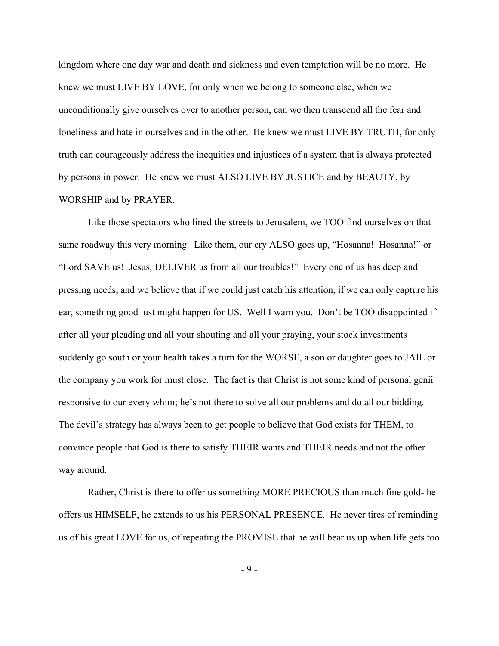kingdom where one day war and death and sickness and even temptation will be no more. He knew we must LIVE BY LOVE, for only when we belong to someone else, when we unconditionally give ourselves over to another person, can we then transcend all the fear and loneliness and hate in ourselves and in the other. He knew we must LIVE BY TRUTH, for only truth can courageously address the inequities and injustices of a system that is always protected by persons in power. He knew we must ALSO LIVE BY JUSTICE and by BEAUTY, by WORSHIP and by PRAYER.

Like those spectators who lined the streets to Jerusalem, we TOO find ourselves on that same roadway this very morning. Like them, our cry ALSO goes up, "Hosanna! Hosanna!" or "Lord SAVE us! Jesus, DELIVER us from all our troubles!" Every one of us has deep and pressing needs, and we believe that if we could just catch his attention, if we can only capture his ear, something good just might happen for US. Well I warn you. Don't be TOO disappointed if after all your pleading and all your shouting and all your praying, your stock investments suddenly go south or your health takes a turn for the WORSE, a son or daughter goes to JAIL or the company you work for must close. The fact is that Christ is not some kind of personal genii responsive to our every whim; he's not there to solve all our problems and do all our bidding. The devil's strategy has always been to get people to believe that God exists for THEM, to convince people that God is there to satisfy THEIR wants and THEIR needs and not the other way around.

Rather, Christ is there to offer us something MORE PRECIOUS than much fine gold- he offers us HIMSELF, he extends to us his PERSONAL PRESENCE. He never tires of reminding us of his great LOVE for us, of repeating the PROMISE that he will bear us up when life gets too

- 9 -